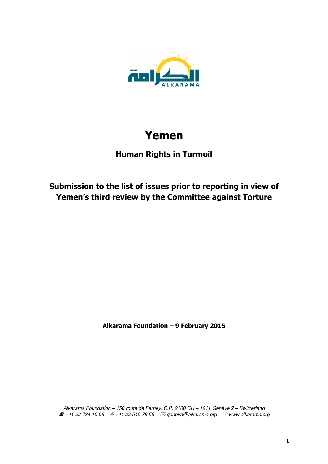

# **Yemen**

## **Human Rights in Turmoil**

## **Submission to the list of issues prior to reporting in view of Yemen's third review by the Committee against Torture**

**Alkarama Foundation – 9 February 2015** 

Alkarama Foundation – 150 route de Ferney, C.P. 2100 CH – 1211 Genève 2 – Switzerland  $\boldsymbol{B}$ +41 22 734 10 06 –  $\textcolor{black}{\triangleq}$  +41 22 545 76 55 –  $\boxtimes$  geneva@alkarama.org –  $\textcolor{black}{\hat{\mathcal{C}}}$  www.alkarama.org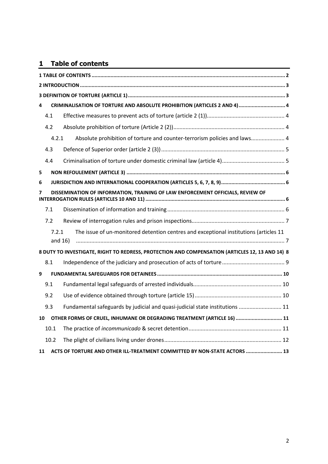## **1 Table of contents**

| 4                                                                                   |                                                                                                 | CRIMINALISATION OF TORTURE AND ABSOLUTE PROHIBITION (ARTICLES 2 AND 4) 4              |  |  |
|-------------------------------------------------------------------------------------|-------------------------------------------------------------------------------------------------|---------------------------------------------------------------------------------------|--|--|
|                                                                                     | 4.1                                                                                             |                                                                                       |  |  |
|                                                                                     | 4.2                                                                                             |                                                                                       |  |  |
|                                                                                     | 4.2.1                                                                                           | Absolute prohibition of torture and counter-terrorism policies and laws 4             |  |  |
|                                                                                     | 4.3                                                                                             |                                                                                       |  |  |
|                                                                                     | 4.4                                                                                             |                                                                                       |  |  |
| 5                                                                                   |                                                                                                 |                                                                                       |  |  |
| 6                                                                                   |                                                                                                 |                                                                                       |  |  |
| DISSEMINATION OF INFORMATION, TRAINING OF LAW ENFORCEMENT OFFICIALS, REVIEW OF<br>7 |                                                                                                 |                                                                                       |  |  |
|                                                                                     | 7.1                                                                                             |                                                                                       |  |  |
|                                                                                     | 7.2                                                                                             |                                                                                       |  |  |
|                                                                                     | 7.2.1<br>and $16)$                                                                              | The issue of un-monitored detention centres and exceptional institutions (articles 11 |  |  |
|                                                                                     | 8 DUTY TO INVESTIGATE, RIGHT TO REDRESS, PROTECTION AND COMPENSATION (ARTICLES 12, 13 AND 14) 8 |                                                                                       |  |  |
|                                                                                     | 8.1                                                                                             |                                                                                       |  |  |
| 9                                                                                   |                                                                                                 |                                                                                       |  |  |
|                                                                                     | 9.1                                                                                             |                                                                                       |  |  |
|                                                                                     | 9.2                                                                                             |                                                                                       |  |  |
|                                                                                     | 9.3                                                                                             | Fundamental safeguards by judicial and quasi-judicial state institutions  11          |  |  |
| 10                                                                                  |                                                                                                 | OTHER FORMS OF CRUEL, INHUMANE OR DEGRADING TREATMENT (ARTICLE 16)  11                |  |  |
|                                                                                     | 10.1                                                                                            |                                                                                       |  |  |
|                                                                                     | 10.2                                                                                            |                                                                                       |  |  |
| 11                                                                                  |                                                                                                 | ACTS OF TORTURE AND OTHER ILL-TREATMENT COMMITTED BY NON-STATE ACTORS  13             |  |  |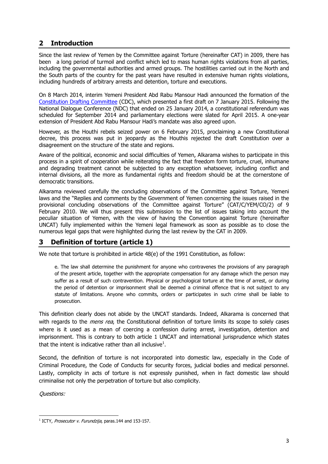## **2 Introduction**

Since the last review of Yemen by the Committee against Torture (hereinafter CAT) in 2009, there has been a long period of turmoil and conflict which led to mass human rights violations from all parties, including the governmental authorities and armed groups. The hostilities carried out in the North and the South parts of the country for the past years have resulted in extensive human rights violations, including hundreds of arbitrary arrests and detention, torture and executions.

On 8 March 2014, interim Yemeni President Abd Rabu Mansour Hadi announced the formation of the Constitution Drafting Committee (CDC), which presented a first draft on 7 January 2015. Following the National Dialogue Conference (NDC) that ended on 25 January 2014, a constitutional referendum was scheduled for September 2014 and parliamentary elections were slated for April 2015. A one-year extension of President Abd Rabu Mansour Hadi's mandate was also agreed upon.

However, as the Houthi rebels seized power on 6 February 2015, proclaiming a new Constitutional decree, this process was put in jeopardy as the Houthis rejected the draft Constitution over a disagreement on the structure of the state and regions.

Aware of the political, economic and social difficulties of Yemen, Alkarama wishes to participate in this process in a spirit of cooperation while reiterating the fact that freedom form torture, cruel, inhumane and degrading treatment cannot be subjected to any exception whatsoever, including conflict and internal divisions, all the more as fundamental rights and freedom should be at the cornerstone of democratic transitions.

Alkarama reviewed carefully the concluding observations of the Committee against Torture, Yemeni laws and the "Replies and comments by the Government of Yemen concerning the issues raised in the provisional concluding observations of the Committee against Torture" (CAT/C/YEM/CO/2) of 9 February 2010. We will thus present this submission to the list of issues taking into account the peculiar situation of Yemen, with the view of having the Convention against Torture (hereinafter UNCAT) fully implemented within the Yemeni legal framework as soon as possible as to close the numerous legal gaps that were highlighted during the last review by the CAT in 2009.

## **3 Definition of torture (article 1)**

We note that torture is prohibited in article 48(e) of the 1991 Constitution, as follow:

e. The law shall determine the punishment for anyone who contravenes the provisions of any paragraph of the present article, together with the appropriate compensation for any damage which the person may suffer as a result of such contravention. Physical or psychological torture at the time of arrest, or during the period of detention or imprisonment shall be deemed a criminal offence that is not subject to any statute of limitations. Anyone who commits, orders or participates in such crime shall be liable to prosecution.

This definition clearly does not abide by the UNCAT standards. Indeed, Alkarama is concerned that with regards to the *mens rea*, the Constitutional definition of torture limits its scope to solely cases where is it used as a mean of coercing a confession during arrest, investigation, detention and imprisonment. This is contrary to both article 1 UNCAT and international jurisprudence which states that the intent is indicative rather than all inclusive<sup>1</sup>.

Second, the definition of torture is not incorporated into domestic law, especially in the Code of Criminal Procedure, the Code of Conducts for security forces, judicial bodies and medical personnel. Lastly, complicity in acts of torture is not expressly punished, when in fact domestic law should criminalise not only the perpetration of torture but also complicity.

l <sup>1</sup> ICTY, *Prosecutor v. Furundzija*, paras.144 and 153-157.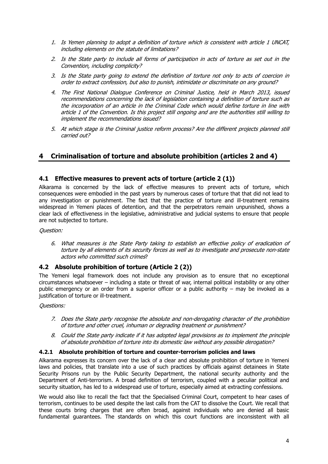- 1. Is Yemen planning to adopt a definition of torture which is consistent with article 1 UNCAT, including elements on the statute of limitations?
- 2. Is the State party to include all forms of participation in acts of torture as set out in the Convention, including complicity?
- 3. Is the State party going to extend the definition of torture not only to acts of coercion in order to extract confession, but also to punish, intimidate or discriminate on any ground?
- 4. The First National Dialogue Conference on Criminal Justice, held in March 2013, issued recommendations concerning the lack of legislation containing a definition of torture such as the incorporation of an article in the Criminal Code which would define torture in line with article 1 of the Convention. Is this project still ongoing and are the authorities still willing to implement the recommendations issued?
- 5. At which stage is the Criminal justice reform process? Are the different projects planned still carried out?

## **4 Criminalisation of torture and absolute prohibition (articles 2 and 4)**

#### **4.1 Effective measures to prevent acts of torture (article 2 (1))**

Alkarama is concerned by the lack of effective measures to prevent acts of torture, which consequences were embodied in the past years by numerous cases of torture that that did not lead to any investigation or punishment. The fact that the practice of torture and ill-treatment remains widespread in Yemeni places of detention, and that the perpetrators remain unpunished, shows a clear lack of effectiveness in the legislative, administrative and judicial systems to ensure that people are not subjected to torture.

#### Question:

6. What measures is the State Party taking to establish an effective policy of eradication of torture by all elements of its security forces as well as to investigate and prosecute non-state actors who committed such crimes?

#### **4.2 Absolute prohibition of torture (Article 2 (2))**

The Yemeni legal framework does not include any provision as to ensure that no exceptional circumstances whatsoever – including a state or threat of war, internal political instability or any other public emergency or an order from a superior officer or a public authority – may be invoked as a justification of torture or ill-treatment.

#### Questions:

- 7. Does the State party recognise the absolute and non-derogating character of the prohibition of torture and other cruel, inhuman or degrading treatment or punishment?
- 8. Could the State party indicate if it has adopted legal provisions as to implement the principle of absolute prohibition of torture into its domestic law without any possible derogation?

#### **4.2.1 Absolute prohibition of torture and counter-terrorism policies and laws**

Alkarama expresses its concern over the lack of a clear and absolute prohibition of torture in Yemeni laws and policies, that translate into a use of such practices by officials against detainees in State Security Prisons run by the Public Security Department, the national security authority and the Department of Anti-terrorism. A broad definition of terrorism, coupled with a peculiar political and security situation, has led to a widespread use of torture, especially aimed at extracting confessions.

We would also like to recall the fact that the Specialised Criminal Court, competent to hear cases of terrorism, continues to be used despite the last calls from the CAT to dissolve the Court. We recall that these courts bring charges that are often broad, against individuals who are denied all basic fundamental guarantees. The standards on which this court functions are inconsistent with all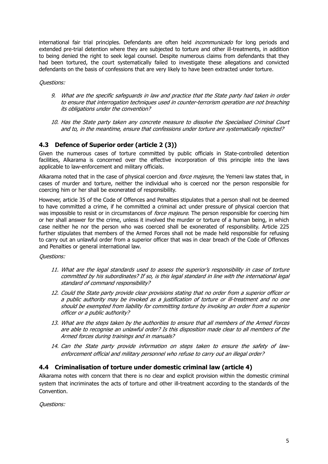international fair trial principles. Defendants are often held *incommunicado* for long periods and extended pre-trial detention where they are subjected to torture and other ill-treatments, in addition to being denied the right to seek legal counsel. Despite numerous claims from defendants that they had been tortured, the court systematically failed to investigate these allegations and convicted defendants on the basis of confessions that are very likely to have been extracted under torture.

Questions:

- 9. What are the specific safeguards in law and practice that the State party had taken in order to ensure that interrogation techniques used in counter-terrorism operation are not breaching its obligations under the convention?
- 10. Has the State party taken any concrete measure to dissolve the Specialised Criminal Court and to, in the meantime, ensure that confessions under torture are systematically rejected?

## **4.3 Defence of Superior order (article 2 (3))**

Given the numerous cases of torture committed by public officials in State-controlled detention facilities, Alkarama is concerned over the effective incorporation of this principle into the laws applicable to law-enforcement and military officials.

Alkarama noted that in the case of physical coercion and *force majeure*, the Yemeni law states that, in cases of murder and torture, neither the individual who is coerced nor the person responsible for coercing him or her shall be exonerated of responsibility.

However, article 35 of the Code of Offences and Penalties stipulates that a person shall not be deemed to have committed a crime, if he committed a criminal act under pressure of physical coercion that was impossible to resist or in circumstances of *force majeure*. The person responsible for coercing him or her shall answer for the crime, unless it involved the murder or torture of a human being, in which case neither he nor the person who was coerced shall be exonerated of responsibility. Article 225 further stipulates that members of the Armed Forces shall not be made held responsible for refusing to carry out an unlawful order from a superior officer that was in clear breach of the Code of Offences and Penalties or general international law.

#### Questions:

- 11. What are the legal standards used to assess the superior's responsibility in case of torture committed by his subordinates? If so, is this legal standard in line with the international legal standard of command responsibility?
- 12. Could the State party provide clear provisions stating that no order from a superior officer or a public authority may be invoked as a justification of torture or ill-treatment and no one should be exempted from liability for committing torture by invoking an order from a superior officer or a public authority?
- 13. What are the steps taken by the authorities to ensure that all members of the Armed Forces are able to recognise an unlawful order? Is this disposition made clear to all members of the Armed forces during trainings and in manuals?
- 14. Can the State party provide information on steps taken to ensure the safety of lawenforcement official and military personnel who refuse to carry out an illegal order?

#### **4.4 Criminalisation of torture under domestic criminal law (article 4)**

Alkarama notes with concern that there is no clear and explicit provision within the domestic criminal system that incriminates the acts of torture and other ill-treatment according to the standards of the Convention.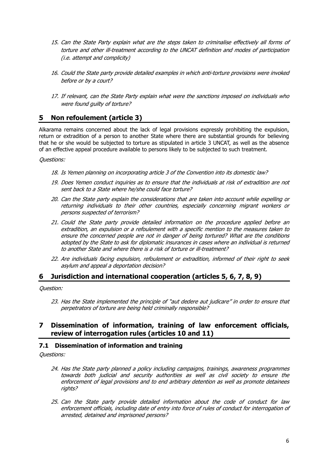- 15. Can the State Party explain what are the steps taken to criminalise effectively all forms of torture and other ill-treatment according to the UNCAT definition and modes of participation (i.e. attempt and complicity)
- 16. Could the State party provide detailed examples in which anti-torture provisions were invoked before or by a court?
- 17. If relevant, can the State Party explain what were the sanctions imposed on individuals who were found guilty of torture?

## **5 Non refoulement (article 3)**

Alkarama remains concerned about the lack of legal provisions expressly prohibiting the expulsion, return or extradition of a person to another State where there are substantial grounds for believing that he or she would be subjected to torture as stipulated in article 3 UNCAT, as well as the absence of an effective appeal procedure available to persons likely to be subjected to such treatment.

#### Questions:

- 18. Is Yemen planning on incorporating article 3 of the Convention into its domestic law?
- 19. Does Yemen conduct inquiries as to ensure that the individuals at risk of extradition are not sent back to a State where he/she could face torture?
- 20. Can the State party explain the considerations that are taken into account while expelling or returning individuals to their other countries, especially concerning migrant workers or persons suspected of terrorism?
- 21. Could the State party provide detailed information on the procedure applied before an extradition, an expulsion or a refoulement with a specific mention to the measures taken to ensure the concerned people are not in danger of being tortured? What are the conditions adopted by the State to ask for diplomatic insurances in cases where an individual is returned to another State and where there is a risk of torture or ill-treatment?
- 22. Are individuals facing expulsion, refoulement or extradition, informed of their right to seek asylum and appeal a deportation decision?

## **6 Jurisdiction and international cooperation (articles 5, 6, 7, 8, 9)**

Question:

23. Has the State implemented the principle of "aut dedere aut judicare" in order to ensure that perpetrators of torture are being held criminally responsible?

## **7 Dissemination of information, training of law enforcement officials, review of interrogation rules (articles 10 and 11)**

## **7.1 Dissemination of information and training**

- 24. Has the State party planned a policy including campaigns, trainings, awareness programmes towards both judicial and security authorities as well as civil society to ensure the enforcement of legal provisions and to end arbitrary detention as well as promote detainees rights?
- 25. Can the State party provide detailed information about the code of conduct for law enforcement officials, including date of entry into force of rules of conduct for interrogation of arrested, detained and imprisoned persons?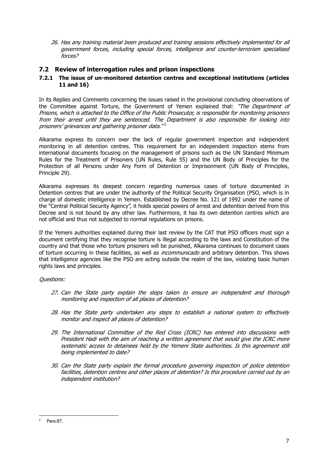26. Has any training material been produced and training sessions effectively implemented for all government forces, including special forces, intelligence and counter-terrorism specialised forces?

## **7.2 Review of interrogation rules and prison inspections**

#### **7.2.1 The issue of un-monitored detention centres and exceptional institutions (articles 11 and 16)**

In its Replies and Comments concerning the issues raised in the provisional concluding observations of the Committee against Torture, the Government of Yemen explained that: "The Department of Prisons, which is attached to the Office of the Public Prosecutor, is responsible for monitoring prisoners from their arrest until they are sentenced. The Department is also responsible for looking into prisoners' grievances and gathering prisoner data."<sup>2</sup>

Alkarama express its concern over the lack of regular government inspection and independent monitoring in all detention centres. This requirement for an independent inspection stems from international documents focusing on the management of prisons such as the UN Standard Minimum Rules for the Treatment of Prisoners (UN Rules, Rule 55) and the UN Body of Principles for the Protection of all Persons under Any Form of Detention or Imprisonment (UN Body of Principles, Principle 29).

Alkarama expresses its deepest concern regarding numerous cases of torture documented in Detention centres that are under the authority of the Political Security Organisation (PSO, which is in charge of domestic intelligence in Yemen. Established by Decree No. 121 of 1992 under the name of the "Central Political Security Agency", it holds special powers of arrest and detention derived from this Decree and is not bound by any other law. Furthermore, it has its own detention centres which are not official and thus not subjected to normal regulations on prisons.

If the Yemeni authorities explained during their last review by the CAT that PSO officers must sign a document certifying that they recognise torture is illegal according to the laws and Constitution of the country and that those who torture prisoners will be punished, Alkarama continues to document cases of torture occurring in these facilities, as well as *incommunicado* and arbitrary detention. This shows that intelligence agencies like the PSO are acting outside the realm of the law, violating basic human rights laws and principles.

- 27. Can the State party explain the steps taken to ensure an independent and thorough monitoring and inspection of all places of detention?
- 28. Has the State party undertaken any steps to establish a national system to effectively monitor and inspect all places of detention?
- 29. The International Committee of the Red Cross (ICRC) has entered into discussions with President Hadi with the aim of reaching a written agreement that would give the ICRC more systematic access to detainees held by the Yemeni State authorities. Is this agreement still being implemented to date?
- 30. Can the State party explain the formal procedure governing inspection of police detention facilities, detention centres and other places of detention? Is this procedure carried out by an independent institution?

l 2 Para.87.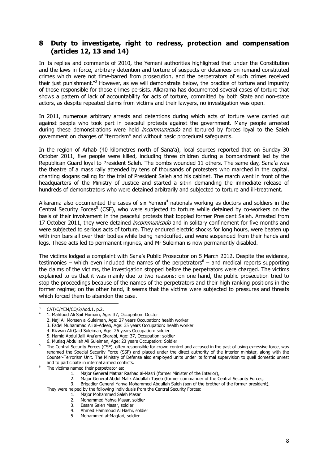## **8 Duty to investigate, right to redress, protection and compensation (articles 12, 13 and 14)**

In its replies and comments of 2010, the Yemeni authorities highlighted that under the Constitution and the laws in force, arbitrary detention and torture of suspects or detainees on remand constituted crimes which were not time-barred from prosecution, and the perpetrators of such crimes received their just punishment."<sup>3</sup> However, as we will demonstrate below, the practice of torture and impunity of those responsible for those crimes persists. Alkarama has documented several cases of torture that shows a pattern of lack of accountability for acts of torture, committed by both State and non-state actors, as despite repeated claims from victims and their lawyers, no investigation was open.

In 2011, numerous arbitrary arrests and detentions during which acts of torture were carried out against people who took part in peaceful protests against the government. Many people arrested during these demonstrations were held *incommunicado* and tortured by forces loyal to the Saleh government on charges of "terrorism" and without basic procedural safeguards.

In the region of Arhab (40 kilometres north of Sana'a), local sources reported that on Sunday 30 October 2011, five people were killed, including three children during a bombardment led by the Republican Guard loyal to President Saleh. The bombs wounded 11 others. The same day, Sana'a was the theatre of a mass rally attended by tens of thousands of protesters who marched in the capital, chanting slogans calling for the trial of President Saleh and his cabinet. The march went in front of the headquarters of the Ministry of Justice and started a sit-in demanding the immediate release of hundreds of demonstrators who were detained arbitrarily and subjected to torture and ill-treatment.

Alkarama also documented the cases of six Yemeni<sup>4</sup> nationals working as doctors and soldiers in the Central Security Forces<sup>5</sup> (CSF), who were subjected to torture while detained by co-workers on the basis of their involvement in the peaceful protests that toppled former President Saleh. Arrested from 17 October 2011, they were detained *incommunicado* and in solitary confinement for five months and were subjected to serious acts of torture. They endured electric shocks for long hours, were beaten up with iron bars all over their bodies while being handcuffed, and were suspended from their hands and legs. These acts led to permanent injuries, and Mr Suleiman is now permanently disabled.

The victims lodged a complaint with Sana's Public Prosecutor on 5 March 2012. Despite the evidence, testimonies – which even included the names of the perpetrators<sup>6</sup> – and medical reports supporting the claims of the victims, the investigation stopped before the perpetrators were charged. The victims explained to us that it was mainly due to two reasons: on one hand, the public prosecution tried to stop the proceedings because of the names of the perpetrators and their high ranking positions in the former regime; on the other hand, it seems that the victims were subjected to pressures and threats which forced them to abandon the case.

l

4. Rizwan Ali Qaid Suleiman, Age: 26 years Occupation: soldier

2. Major General Abdul Malik Abdullah Tayeb (former commander of the Central Security Forces,

5. Mohammed al-Maqtari, soldier

<sup>3</sup> CAT/C/YEM/CO/2/Add.1, p.2. 4

 <sup>1.</sup> Mahfoud Ali Saif Humairi, Age: 37, Occupation: Doctor

<sup>2.</sup> Naji Ali Mohsen al-Suleiman, Age: 27 years Occupation: health worker

<sup>3.</sup> Fadel Muhammad Ali al-Adeeb, Age: 35 years Occupation: health worker

<sup>5.</sup> Hamid Abdul Jalil Ana'am Sharabi, Age: 37, Occupation: soldier

<sup>6.</sup> Mutlaq Abdullah Ali Suleiman, Age: 23 years Occupation: Soldier

<sup>5</sup> The Central Security Forces (CSF), often responsible for crowd control and accused in the past of using excessive force, was renamed the Special Security Force (SSF) and placed under the direct authority of the interior minister, along with the Counter-Terrorism Unit. The Ministry of Defense also employed units under its formal supervision to quell domestic unrest and to participate in internal armed conflicts.

<sup>6</sup> The victims named their perpetrator as:

<sup>1.</sup> Major General Mathar Rashad al-Masri (former Minister of the Interior),<br>2. Major General Abdul Malik Abdullah Tayeb (former commander of the C

<sup>3.</sup> Brigadier General Yahya Mohammed Abdullah Saleh (son of the brother of the former president),

They were helped by the following individuals from the Central Security Forces:

<sup>1.</sup> Major Mohammed Saleh Masar

<sup>2.</sup> Mohammed Yahya Masar, soldier

<sup>3.</sup> Essam Saleh Masar, soldier

<sup>4.</sup> Ahmed Hammoud Al Hashi, soldier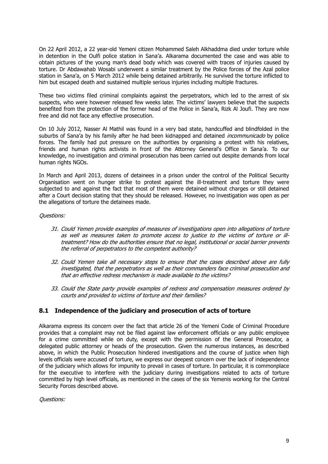On 22 April 2012, a 22 year-old Yemeni citizen Mohammed Saleh Alkhaddma died under torture while in detention in the Oulfi police station in Sana'a. Alkarama documented the case and was able to obtain pictures of the young man's dead body which was covered with traces of injuries caused by torture. Dr Abdawahab Wosabi underwent a similar treatment by the Police forces of the Azal police station in Sana'a, on 5 March 2012 while being detained arbitrarily. He survived the torture inflicted to him but escaped death and sustained multiple serious injuries including multiple fractures.

These two victims filed criminal complaints against the perpetrators, which led to the arrest of six suspects, who were however released few weeks later. The victims' lawyers believe that the suspects benefited from the protection of the former head of the Police in Sana'a, Rizk Al Joufi. They are now free and did not face any effective prosecution.

On 10 July 2012, Nasser Al Mathil was found in a very bad state, handcuffed and blindfolded in the suburbs of Sana'a by his family after he had been kidnapped and detained *incommunicado* by police forces. The family had put pressure on the authorities by organising a protest with his relatives, friends and human rights activists in front of the Attorney General's Office in Sana'a. To our knowledge, no investigation and criminal prosecution has been carried out despite demands from local human rights NGOs.

In March and April 2013, dozens of detainees in a prison under the control of the Political Security Organisation went on hunger strike to protest against the ill-treatment and torture they were subjected to and against the fact that most of them were detained without charges or still detained after a Court decision stating that they should be released. However, no investigation was open as per the allegations of torture the detainees made.

#### Questions:

- 31. Could Yemen provide examples of measures of investigations open into allegations of torture as well as measures taken to promote access to justice to the victims of torture or illtreatment? How do the authorities ensure that no legal, institutional or social barrier prevents the referral of perpetrators to the competent authority?
- 32. Could Yemen take all necessary steps to ensure that the cases described above are fully investigated, that the perpetrators as well as their commanders face criminal prosecution and that an effective redress mechanism is made available to the victims?
- 33. Could the State party provide examples of redress and compensation measures ordered by courts and provided to victims of torture and their families?

## **8.1 Independence of the judiciary and prosecution of acts of torture**

Alkarama express its concern over the fact that article 26 of the Yemeni Code of Criminal Procedure provides that a complaint may not be filed against law enforcement officials or any public employee for a crime committed while on duty, except with the permission of the General Prosecutor, a delegated public attorney or heads of the prosecution. Given the numerous instances, as described above, in which the Public Prosecution hindered investigations and the course of justice when high levels officials were accused of torture, we express our deepest concern over the lack of independence of the judiciary which allows for impunity to prevail in cases of torture. In particular, it is commonplace for the executive to interfere with the judiciary during investigations related to acts of torture committed by high level officials, as mentioned in the cases of the six Yemenis working for the Central Security Forces described above.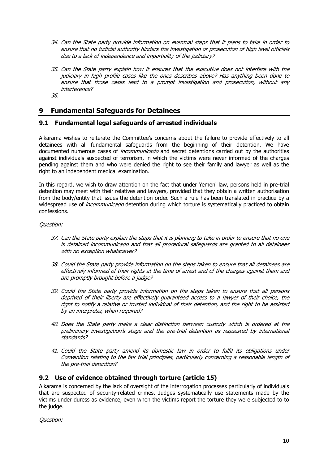- 34. Can the State party provide information on eventual steps that it plans to take in order to ensure that no judicial authority hinders the investigation or prosecution of high level officials due to a lack of independence and impartiality of the judiciary?
- 35. Can the State party explain how it ensures that the executive does not interfere with the judiciary in high profile cases like the ones describes above? Has anything been done to ensure that those cases lead to a prompt investigation and prosecution, without any interference?
- 36.

## **9 Fundamental Safeguards for Detainees**

## **9.1 Fundamental legal safeguards of arrested individuals**

Alkarama wishes to reiterate the Committee's concerns about the failure to provide effectively to all detainees with all fundamental safeguards from the beginning of their detention. We have documented numerous cases of *incommunicado* and secret detentions carried out by the authorities against individuals suspected of terrorism, in which the victims were never informed of the charges pending against them and who were denied the right to see their family and lawyer as well as the right to an independent medical examination.

In this regard, we wish to draw attention on the fact that under Yemeni law, persons held in pre-trial detention may meet with their relatives and lawyers, provided that they obtain a written authorisation from the body/entity that issues the detention order. Such a rule has been translated in practice by a widespread use of *incommunicado* detention during which torture is systematically practiced to obtain confessions.

#### Question:

- 37. Can the State party explain the steps that it is planning to take in order to ensure that no one is detained incommunicado and that all procedural safeguards are granted to all detainees with no exception whatsoever?
- 38. Could the State party provide information on the steps taken to ensure that all detainees are effectively informed of their rights at the time of arrest and of the charges against them and are promptly brought before a judge?
- 39. Could the State party provide information on the steps taken to ensure that all persons deprived of their liberty are effectively guaranteed access to a lawyer of their choice, the right to notify a relative or trusted individual of their detention, and the right to be assisted by an interpreter, when required?
- 40. Does the State party make a clear distinction between custody which is ordered at the preliminary investigation's stage and the pre-trial detention as requested by international standards?
- 41. Could the State party amend its domestic law in order to fulfil its obligations under Convention relating to the fair trial principles, particularly concerning a reasonable length of the pre-trial detention?

#### **9.2 Use of evidence obtained through torture (article 15)**

Alkarama is concerned by the lack of oversight of the interrogation processes particularly of individuals that are suspected of security-related crimes. Judges systematically use statements made by the victims under duress as evidence, even when the victims report the torture they were subjected to to the judge.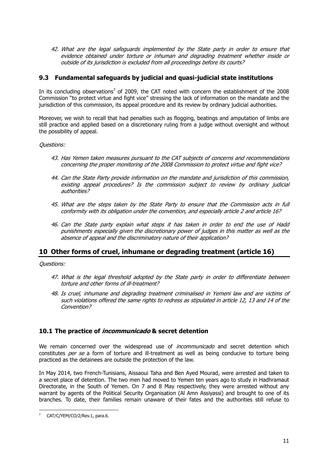42. What are the legal safeguards implemented by the State party in order to ensure that evidence obtained under torture or inhuman and degrading treatment whether inside or outside of its jurisdiction is excluded from all proceedings before its courts?

## **9.3 Fundamental safeguards by judicial and quasi-judicial state institutions**

In its concluding observations<sup>7</sup> of 2009, the CAT noted with concern the establishment of the 2008 Commission "to protect virtue and fight vice" stressing the lack of information on the mandate and the jurisdiction of this commission, its appeal procedure and its review by ordinary judicial authorities.

Moreover, we wish to recall that had penalties such as flogging, beatings and amputation of limbs are still practice and applied based on a discretionary ruling from a judge without oversight and without the possibility of appeal.

Questions:

- 43. Has Yemen taken measures pursuant to the CAT subjects of concerns and recommendations concerning the proper monitoring of the 2008 Commission to protect virtue and fight vice?
- 44. Can the State Party provide information on the mandate and jurisdiction of this commission, existing appeal procedures? Is the commission subject to review by ordinary judicial authorities?
- 45. What are the steps taken by the State Party to ensure that the Commission acts in full conformity with its obligation under the convention, and especially article 2 and article 16?
- 46. Can the State party explain what steps it has taken in order to end the use of Hadd punishments especially given the discretionary power of judges in this matter as well as the absence of appeal and the discriminatory nature of their application?

## **10 Other forms of cruel, inhumane or degrading treatment (article 16)**

Questions:

- 47. What is the legal threshold adopted by the State party in order to differentiate between torture and other forms of ill-treatment?
- 48. Is cruel, inhumane and degrading treatment criminalised in Yemeni law and are victims of such violations offered the same rights to redress as stipulated in article 12, 13 and 14 of the Convention?

#### **10.1 The practice of incommunicado & secret detention**

We remain concerned over the widespread use of *incommunicado* and secret detention which constitutes *per se* a form of torture and ill-treatment as well as being conducive to torture being practiced as the detainees are outside the protection of the law.

In May 2014, two French-Tunisians, Aissaoui Taha and Ben Ayed Mourad, were arrested and taken to a secret place of detention. The two men had moved to Yemen ten years ago to study in Hadhramaut Directorate, in the South of Yemen. On 7 and 8 May respectively, they were arrested without any warrant by agents of the Political Security Organisation (Al Amn Assiyassi) and brought to one of its branches. To date, their families remain unaware of their fates and the authorities still refuse to

l

<sup>7</sup> CAT/C/YEM/CO/2/Rev.1, para.6.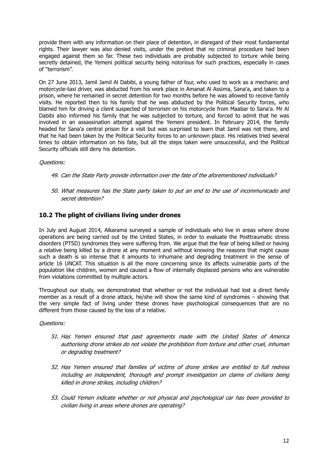provide them with any information on their place of detention, in disregard of their most fundamental rights. Their lawyer was also denied visits, under the pretext that no criminal procedure had been engaged against them so far. These two individuals are probably subjected to torture while being secretly detained, the Yemeni political security being notorious for such practices, especially in cases of "terrorism".

On 27 June 2013, Jamil Jamil Al Dabibi, a young father of four, who used to work as a mechanic and motorcycle-taxi driver, was abducted from his work place in Amanat Al Assima, Sana'a, and taken to a prison, where he remained in secret detention for two months before he was allowed to receive family visits. He reported then to his family that he was abducted by the Political Security forces, who blamed him for driving a client suspected of terrorism on his motorcycle from Maabar to Sana'a. Mr Al Dabibi also informed his family that he was subjected to torture, and forced to admit that he was involved in an assassination attempt against the Yemeni president. In February 2014, the family headed for Sana'a central prison for a visit but was surprised to learn that Jamil was not there, and that he had been taken by the Political Security forces to an unknown place. His relatives tried several times to obtain information on his fate, but all the steps taken were unsuccessful, and the Political Security officials still deny his detention.

#### Questions:

- 49. Can the State Party provide information over the fate of the aforementioned individuals?
- 50. What measures has the State party taken to put an end to the use of incommunicado and secret detention?

## **10.2 The plight of civilians living under drones**

In July and August 2014, Alkarama surveyed a sample of individuals who live in areas where drone operations are being carried out by the United States, in order to evaluate the Posttraumatic stress disorders (PTSD) syndromes they were suffering from. We argue that the fear of being killed or having a relative being killed by a drone at any moment and without knowing the reasons that might cause such a death is so intense that it amounts to inhumane and degrading treatment in the sense of article 16 UNCAT. This situation is all the more concerning since its affects vulnerable parts of the population like children, women and caused a flow of internally displaced persons who are vulnerable from violations committed by multiple actors.

Throughout our study, we demonstrated that whether or not the individual had lost a direct family member as a result of a drone attack, he/she will show the same kind of syndromes – showing that the very simple fact of living under these drones have psychological consequences that are no different from those caused by the loss of a relative.

- 51. Has Yemen ensured that past agreements made with the United States of America authorising drone strikes do not violate the prohibition from torture and other cruel, inhuman or degrading treatment?
- 52. Has Yemen ensured that families of victims of drone strikes are entitled to full redress including an independent, thorough and prompt investigation on claims of civilians being killed in drone strikes, including children?
- 53. Could Yemen indicate whether or not physical and psychological car has been provided to civilian living in areas where drones are operating?